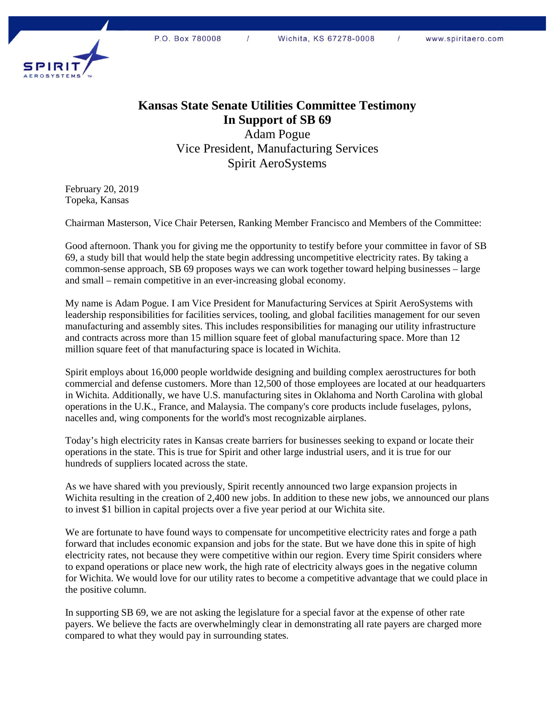

## **Kansas State Senate Utilities Committee Testimony In Support of SB 69**

Adam Pogue Vice President, Manufacturing Services Spirit AeroSystems

February 20, 2019 Topeka, Kansas

Chairman Masterson, Vice Chair Petersen, Ranking Member Francisco and Members of the Committee:

Good afternoon. Thank you for giving me the opportunity to testify before your committee in favor of SB 69, a study bill that would help the state begin addressing uncompetitive electricity rates. By taking a common-sense approach, SB 69 proposes ways we can work together toward helping businesses – large and small – remain competitive in an ever-increasing global economy.

My name is Adam Pogue. I am Vice President for Manufacturing Services at Spirit AeroSystems with leadership responsibilities for facilities services, tooling, and global facilities management for our seven manufacturing and assembly sites. This includes responsibilities for managing our utility infrastructure and contracts across more than 15 million square feet of global manufacturing space. More than 12 million square feet of that manufacturing space is located in Wichita.

Spirit employs about 16,000 people worldwide designing and building complex aerostructures for both commercial and defense customers. More than 12,500 of those employees are located at our headquarters in Wichita. Additionally, we have U.S. manufacturing sites in Oklahoma and North Carolina with global operations in the U.K., France, and Malaysia. The company's core products include fuselages, pylons, nacelles and, wing components for the world's most recognizable airplanes.

Today's high electricity rates in Kansas create barriers for businesses seeking to expand or locate their operations in the state. This is true for Spirit and other large industrial users, and it is true for our hundreds of suppliers located across the state.

As we have shared with you previously, Spirit recently announced two large expansion projects in Wichita resulting in the creation of 2,400 new jobs. In addition to these new jobs, we announced our plans to invest \$1 billion in capital projects over a five year period at our Wichita site.

We are fortunate to have found ways to compensate for uncompetitive electricity rates and forge a path forward that includes economic expansion and jobs for the state. But we have done this in spite of high electricity rates, not because they were competitive within our region. Every time Spirit considers where to expand operations or place new work, the high rate of electricity always goes in the negative column for Wichita. We would love for our utility rates to become a competitive advantage that we could place in the positive column.

In supporting SB 69, we are not asking the legislature for a special favor at the expense of other rate payers. We believe the facts are overwhelmingly clear in demonstrating all rate payers are charged more compared to what they would pay in surrounding states.